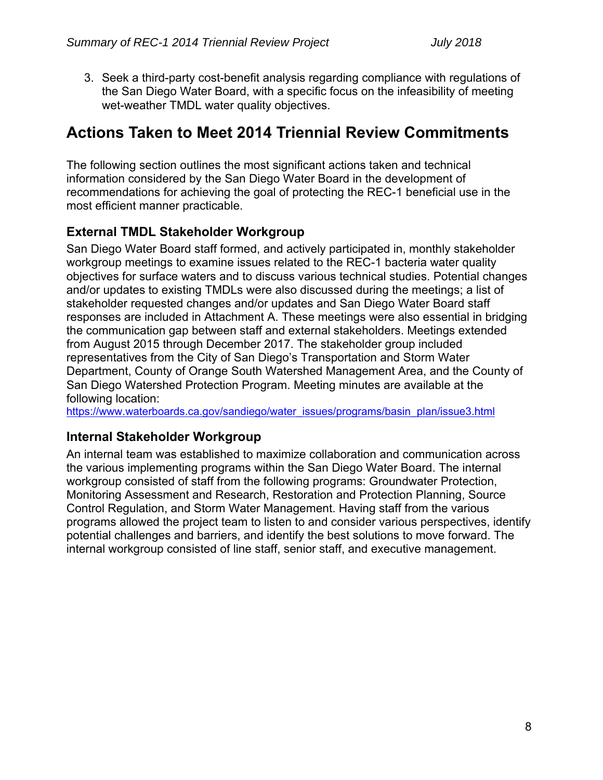3. Seek a third-party cost-benefit analysis regarding compliance with regulations of the San Diego Water Board, with a specific focus on the infeasibility of meeting wet-weather TMDL water quality objectives.

# **Actions Taken to Meet 2014 Triennial Review Commitments**

The following section outlines the most significant actions taken and technical information considered by the San Diego Water Board in the development of recommendations for achieving the goal of protecting the REC-1 beneficial use in the most efficient manner practicable.

# **External TMDL Stakeholder Workgroup**

San Diego Water Board staff formed, and actively participated in, monthly stakeholder workgroup meetings to examine issues related to the REC-1 bacteria water quality objectives for surface waters and to discuss various technical studies. Potential changes and/or updates to existing TMDLs were also discussed during the meetings; a list of stakeholder requested changes and/or updates and San Diego Water Board staff responses are included in Attachment A. These meetings were also essential in bridging the communication gap between staff and external stakeholders. Meetings extended from August 2015 through December 2017. The stakeholder group included representatives from the City of San Diego's Transportation and Storm Water Department, County of Orange South Watershed Management Area, and the County of San Diego Watershed Protection Program. Meeting minutes are available at the following location:

https://www.waterboards.ca.gov/sandiego/water\_issues/programs/basin\_plan/issue3.html

# **Internal Stakeholder Workgroup**

An internal team was established to maximize collaboration and communication across the various implementing programs within the San Diego Water Board. The internal workgroup consisted of staff from the following programs: Groundwater Protection, Monitoring Assessment and Research, Restoration and Protection Planning, Source Control Regulation, and Storm Water Management. Having staff from the various programs allowed the project team to listen to and consider various perspectives, identify potential challenges and barriers, and identify the best solutions to move forward. The internal workgroup consisted of line staff, senior staff, and executive management.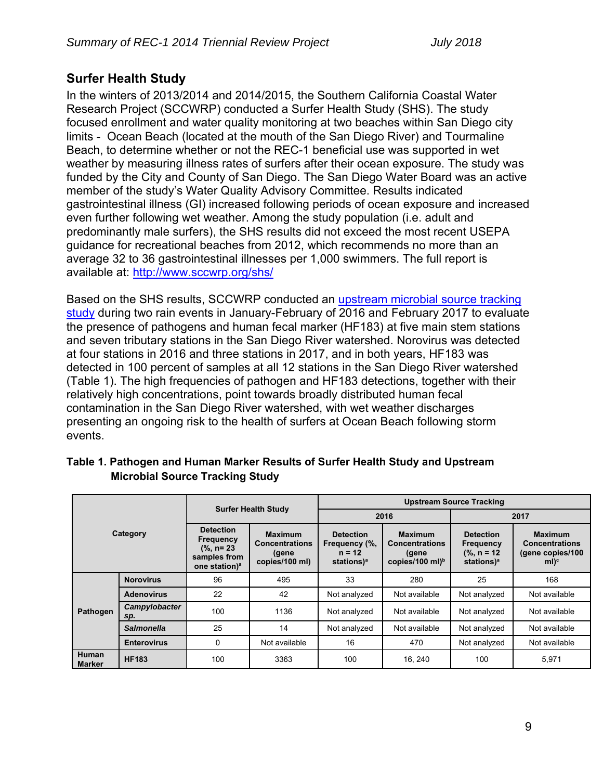# **Surfer Health Study**

In the winters of 2013/2014 and 2014/2015, the Southern California Coastal Water Research Project (SCCWRP) conducted a Surfer Health Study (SHS). The study focused enrollment and water quality monitoring at two beaches within San Diego city limits - Ocean Beach (located at the mouth of the San Diego River) and Tourmaline Beach, to determine whether or not the REC-1 beneficial use was supported in wet weather by measuring illness rates of surfers after their ocean exposure. The study was funded by the City and County of San Diego. The San Diego Water Board was an active member of the study's Water Quality Advisory Committee. Results indicated gastrointestinal illness (GI) increased following periods of ocean exposure and increased even further following wet weather. Among the study population (i.e. adult and predominantly male surfers), the SHS results did not exceed the most recent USEPA guidance for recreational beaches from 2012, which recommends no more than an average 32 to 36 gastrointestinal illnesses per 1,000 swimmers. The full report is available at: http://www.sccwrp.org/shs/

Based on the SHS results, SCCWRP conducted an upstream microbial source tracking study during two rain events in January-February of 2016 and February 2017 to evaluate the presence of pathogens and human fecal marker (HF183) at five main stem stations and seven tributary stations in the San Diego River watershed. Norovirus was detected at four stations in 2016 and three stations in 2017, and in both years, HF183 was detected in 100 percent of samples at all 12 stations in the San Diego River watershed (Table 1). The high frequencies of pathogen and HF183 detections, together with their relatively high concentrations, point towards broadly distributed human fecal contamination in the San Diego River watershed, with wet weather discharges presenting an ongoing risk to the health of surfers at Ocean Beach following storm events.

| Category                      |                      | <b>Surfer Health Study</b>                                                                         |                                                                    | <b>Upstream Source Tracking</b>                                         |                                                                               |                                                                                |                                                                         |
|-------------------------------|----------------------|----------------------------------------------------------------------------------------------------|--------------------------------------------------------------------|-------------------------------------------------------------------------|-------------------------------------------------------------------------------|--------------------------------------------------------------------------------|-------------------------------------------------------------------------|
|                               |                      |                                                                                                    |                                                                    | 2016                                                                    |                                                                               | 2017                                                                           |                                                                         |
|                               |                      | <b>Detection</b><br><b>Frequency</b><br>$(% , n= 23)$<br>samples from<br>one station) <sup>a</sup> | <b>Maximum</b><br><b>Concentrations</b><br>(gene<br>copies/100 ml) | <b>Detection</b><br>Frequency (%,<br>$n = 12$<br>stations) <sup>a</sup> | <b>Maximum</b><br><b>Concentrations</b><br>(gene<br>copies/100 ml) $^{\rm b}$ | <b>Detection</b><br><b>Frequency</b><br>$(% n = 12)$<br>stations) <sup>a</sup> | <b>Maximum</b><br><b>Concentrations</b><br>(gene copies/100)<br>$ml)^c$ |
| Pathogen                      | <b>Norovirus</b>     | 96                                                                                                 | 495                                                                | 33                                                                      | 280                                                                           | 25                                                                             | 168                                                                     |
|                               | <b>Adenovirus</b>    | 22                                                                                                 | 42                                                                 | Not analyzed                                                            | Not available                                                                 | Not analyzed                                                                   | Not available                                                           |
|                               | Campylobacter<br>sp. | 100                                                                                                | 1136                                                               | Not analyzed                                                            | Not available                                                                 | Not analyzed                                                                   | Not available                                                           |
|                               | <b>Salmonella</b>    | 25                                                                                                 | 14                                                                 | Not analyzed                                                            | Not available                                                                 | Not analyzed                                                                   | Not available                                                           |
|                               | <b>Enterovirus</b>   | $\mathbf{0}$                                                                                       | Not available                                                      | 16                                                                      | 470                                                                           | Not analyzed                                                                   | Not available                                                           |
| <b>Human</b><br><b>Marker</b> | <b>HF183</b>         | 100                                                                                                | 3363                                                               | 100                                                                     | 16, 240                                                                       | 100                                                                            | 5,971                                                                   |

### **Table 1. Pathogen and Human Marker Results of Surfer Health Study and Upstream Microbial Source Tracking Study**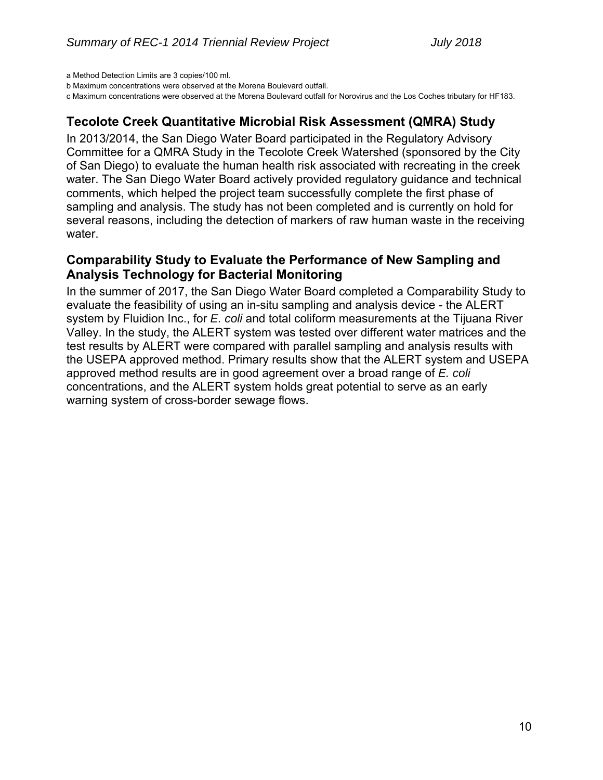a Method Detection Limits are 3 copies/100 ml.

b Maximum concentrations were observed at the Morena Boulevard outfall.

c Maximum concentrations were observed at the Morena Boulevard outfall for Norovirus and the Los Coches tributary for HF183.

# **Tecolote Creek Quantitative Microbial Risk Assessment (QMRA) Study**

In 2013/2014, the San Diego Water Board participated in the Regulatory Advisory Committee for a QMRA Study in the Tecolote Creek Watershed (sponsored by the City of San Diego) to evaluate the human health risk associated with recreating in the creek water. The San Diego Water Board actively provided regulatory guidance and technical comments, which helped the project team successfully complete the first phase of sampling and analysis. The study has not been completed and is currently on hold for several reasons, including the detection of markers of raw human waste in the receiving water.

# **Comparability Study to Evaluate the Performance of New Sampling and Analysis Technology for Bacterial Monitoring**

In the summer of 2017, the San Diego Water Board completed a Comparability Study to evaluate the feasibility of using an in-situ sampling and analysis device - the ALERT system by Fluidion Inc., for *E. coli* and total coliform measurements at the Tijuana River Valley. In the study, the ALERT system was tested over different water matrices and the test results by ALERT were compared with parallel sampling and analysis results with the USEPA approved method. Primary results show that the ALERT system and USEPA approved method results are in good agreement over a broad range of *E. coli* concentrations, and the ALERT system holds great potential to serve as an early warning system of cross-border sewage flows.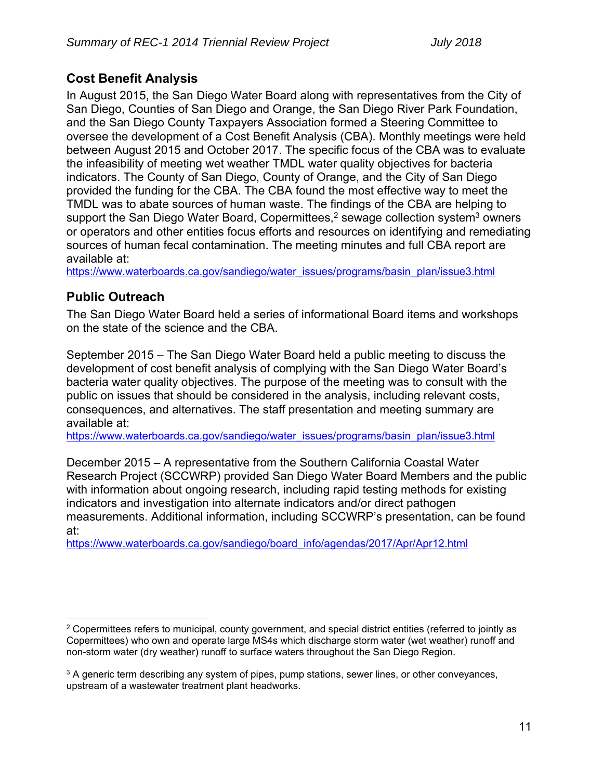# **Cost Benefit Analysis**

In August 2015, the San Diego Water Board along with representatives from the City of San Diego, Counties of San Diego and Orange, the San Diego River Park Foundation, and the San Diego County Taxpayers Association formed a Steering Committee to oversee the development of a Cost Benefit Analysis (CBA). Monthly meetings were held between August 2015 and October 2017. The specific focus of the CBA was to evaluate the infeasibility of meeting wet weather TMDL water quality objectives for bacteria indicators. The County of San Diego, County of Orange, and the City of San Diego provided the funding for the CBA. The CBA found the most effective way to meet the TMDL was to abate sources of human waste. The findings of the CBA are helping to support the San Diego Water Board, Copermittees,<sup>2</sup> sewage collection system<sup>3</sup> owners or operators and other entities focus efforts and resources on identifying and remediating sources of human fecal contamination. The meeting minutes and full CBA report are available at:

https://www.waterboards.ca.gov/sandiego/water\_issues/programs/basin\_plan/issue3.html

# **Public Outreach**

 $\overline{a}$ 

The San Diego Water Board held a series of informational Board items and workshops on the state of the science and the CBA.

September 2015 – The San Diego Water Board held a public meeting to discuss the development of cost benefit analysis of complying with the San Diego Water Board's bacteria water quality objectives. The purpose of the meeting was to consult with the public on issues that should be considered in the analysis, including relevant costs, consequences, and alternatives. The staff presentation and meeting summary are available at:

https://www.waterboards.ca.gov/sandiego/water\_issues/programs/basin\_plan/issue3.html

December 2015 – A representative from the Southern California Coastal Water Research Project (SCCWRP) provided San Diego Water Board Members and the public with information about ongoing research, including rapid testing methods for existing indicators and investigation into alternate indicators and/or direct pathogen measurements. Additional information, including SCCWRP's presentation, can be found at:

https://www.waterboards.ca.gov/sandiego/board\_info/agendas/2017/Apr/Apr12.html

 $2$  Copermittees refers to municipal, county government, and special district entities (referred to jointly as Copermittees) who own and operate large MS4s which discharge storm water (wet weather) runoff and non-storm water (dry weather) runoff to surface waters throughout the San Diego Region.

 $3$  A generic term describing any system of pipes, pump stations, sewer lines, or other conveyances, upstream of a wastewater treatment plant headworks.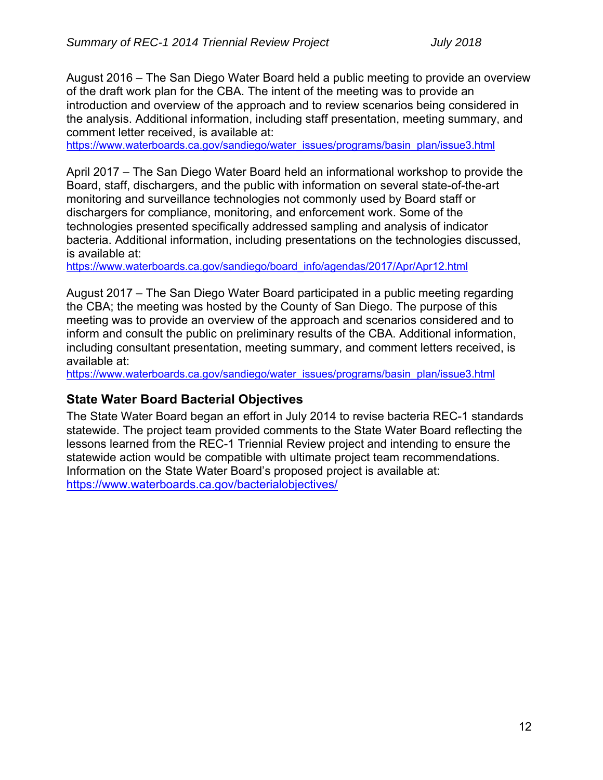August 2016 – The San Diego Water Board held a public meeting to provide an overview of the draft work plan for the CBA. The intent of the meeting was to provide an introduction and overview of the approach and to review scenarios being considered in the analysis. Additional information, including staff presentation, meeting summary, and comment letter received, is available at:

https://www.waterboards.ca.gov/sandiego/water\_issues/programs/basin\_plan/issue3.html

April 2017 – The San Diego Water Board held an informational workshop to provide the Board, staff, dischargers, and the public with information on several state-of-the-art monitoring and surveillance technologies not commonly used by Board staff or dischargers for compliance, monitoring, and enforcement work. Some of the technologies presented specifically addressed sampling and analysis of indicator bacteria. Additional information, including presentations on the technologies discussed, is available at:

https://www.waterboards.ca.gov/sandiego/board\_info/agendas/2017/Apr/Apr12.html

August 2017 – The San Diego Water Board participated in a public meeting regarding the CBA; the meeting was hosted by the County of San Diego. The purpose of this meeting was to provide an overview of the approach and scenarios considered and to inform and consult the public on preliminary results of the CBA. Additional information, including consultant presentation, meeting summary, and comment letters received, is available at:

https://www.waterboards.ca.gov/sandiego/water\_issues/programs/basin\_plan/issue3.html

# **State Water Board Bacterial Objectives**

The State Water Board began an effort in July 2014 to revise bacteria REC-1 standards statewide. The project team provided comments to the State Water Board reflecting the lessons learned from the REC-1 Triennial Review project and intending to ensure the statewide action would be compatible with ultimate project team recommendations. Information on the State Water Board's proposed project is available at: https://www.waterboards.ca.gov/bacterialobjectives/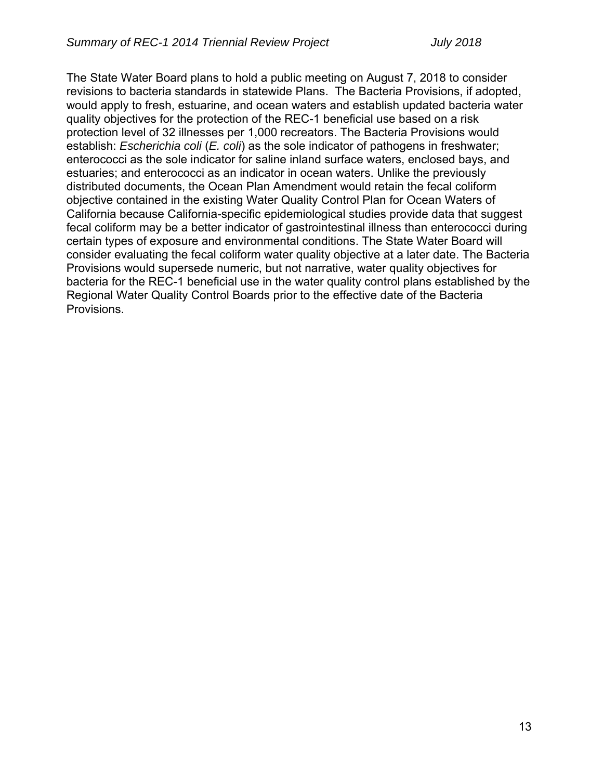The State Water Board plans to hold a public meeting on August 7, 2018 to consider revisions to bacteria standards in statewide Plans. The Bacteria Provisions, if adopted, would apply to fresh, estuarine, and ocean waters and establish updated bacteria water quality objectives for the protection of the REC-1 beneficial use based on a risk protection level of 32 illnesses per 1,000 recreators. The Bacteria Provisions would establish: *Escherichia coli* (*E. coli*) as the sole indicator of pathogens in freshwater; enterococci as the sole indicator for saline inland surface waters, enclosed bays, and estuaries; and enterococci as an indicator in ocean waters. Unlike the previously distributed documents, the Ocean Plan Amendment would retain the fecal coliform objective contained in the existing Water Quality Control Plan for Ocean Waters of California because California-specific epidemiological studies provide data that suggest fecal coliform may be a better indicator of gastrointestinal illness than enterococci during certain types of exposure and environmental conditions. The State Water Board will consider evaluating the fecal coliform water quality objective at a later date. The Bacteria Provisions would supersede numeric, but not narrative, water quality objectives for bacteria for the REC-1 beneficial use in the water quality control plans established by the Regional Water Quality Control Boards prior to the effective date of the Bacteria Provisions.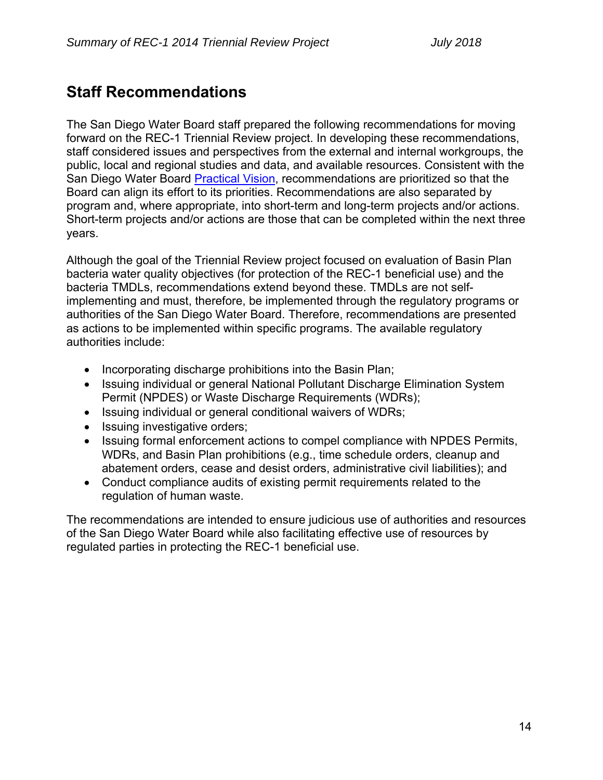# **Staff Recommendations**

The San Diego Water Board staff prepared the following recommendations for moving forward on the REC-1 Triennial Review project. In developing these recommendations, staff considered issues and perspectives from the external and internal workgroups, the public, local and regional studies and data, and available resources. Consistent with the San Diego Water Board Practical Vision, recommendations are prioritized so that the Board can align its effort to its priorities. Recommendations are also separated by program and, where appropriate, into short-term and long-term projects and/or actions. Short-term projects and/or actions are those that can be completed within the next three years.

Although the goal of the Triennial Review project focused on evaluation of Basin Plan bacteria water quality objectives (for protection of the REC-1 beneficial use) and the bacteria TMDLs, recommendations extend beyond these. TMDLs are not selfimplementing and must, therefore, be implemented through the regulatory programs or authorities of the San Diego Water Board. Therefore, recommendations are presented as actions to be implemented within specific programs. The available regulatory authorities include:

- Incorporating discharge prohibitions into the Basin Plan;
- Issuing individual or general National Pollutant Discharge Elimination System Permit (NPDES) or Waste Discharge Requirements (WDRs);
- Issuing individual or general conditional waivers of WDRs;
- Issuing investigative orders;
- Issuing formal enforcement actions to compel compliance with NPDES Permits, WDRs, and Basin Plan prohibitions (e.g., time schedule orders, cleanup and abatement orders, cease and desist orders, administrative civil liabilities); and
- Conduct compliance audits of existing permit requirements related to the regulation of human waste.

The recommendations are intended to ensure judicious use of authorities and resources of the San Diego Water Board while also facilitating effective use of resources by regulated parties in protecting the REC-1 beneficial use.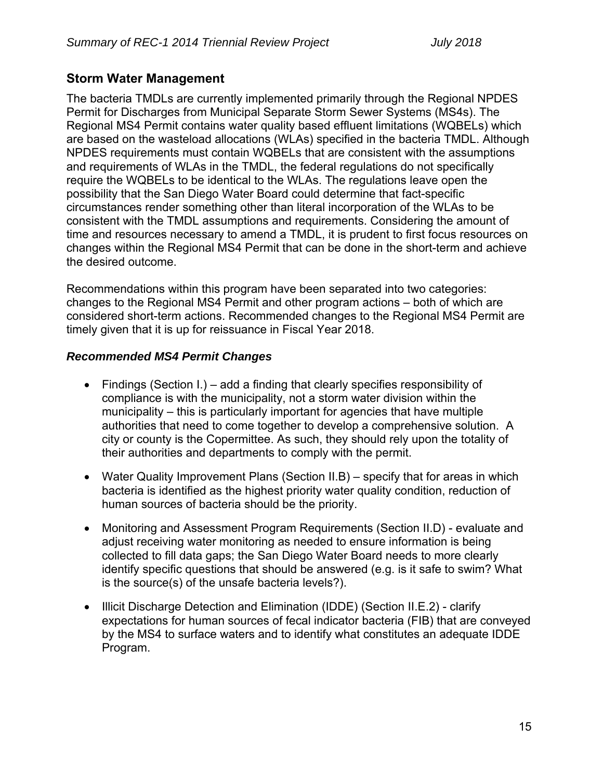# **Storm Water Management**

The bacteria TMDLs are currently implemented primarily through the Regional NPDES Permit for Discharges from Municipal Separate Storm Sewer Systems (MS4s). The Regional MS4 Permit contains water quality based effluent limitations (WQBELs) which are based on the wasteload allocations (WLAs) specified in the bacteria TMDL. Although NPDES requirements must contain WQBELs that are consistent with the assumptions and requirements of WLAs in the TMDL, the federal regulations do not specifically require the WQBELs to be identical to the WLAs. The regulations leave open the possibility that the San Diego Water Board could determine that fact-specific circumstances render something other than literal incorporation of the WLAs to be consistent with the TMDL assumptions and requirements. Considering the amount of time and resources necessary to amend a TMDL, it is prudent to first focus resources on changes within the Regional MS4 Permit that can be done in the short-term and achieve the desired outcome.

Recommendations within this program have been separated into two categories: changes to the Regional MS4 Permit and other program actions – both of which are considered short-term actions. Recommended changes to the Regional MS4 Permit are timely given that it is up for reissuance in Fiscal Year 2018.

# *Recommended MS4 Permit Changes*

- Findings (Section I.) add a finding that clearly specifies responsibility of compliance is with the municipality, not a storm water division within the municipality – this is particularly important for agencies that have multiple authorities that need to come together to develop a comprehensive solution. A city or county is the Copermittee. As such, they should rely upon the totality of their authorities and departments to comply with the permit.
- Water Quality Improvement Plans (Section II.B) specify that for areas in which bacteria is identified as the highest priority water quality condition, reduction of human sources of bacteria should be the priority.
- Monitoring and Assessment Program Requirements (Section II.D) evaluate and adjust receiving water monitoring as needed to ensure information is being collected to fill data gaps; the San Diego Water Board needs to more clearly identify specific questions that should be answered (e.g. is it safe to swim? What is the source(s) of the unsafe bacteria levels?).
- Illicit Discharge Detection and Elimination (IDDE) (Section II.E.2) clarify expectations for human sources of fecal indicator bacteria (FIB) that are conveyed by the MS4 to surface waters and to identify what constitutes an adequate IDDE Program.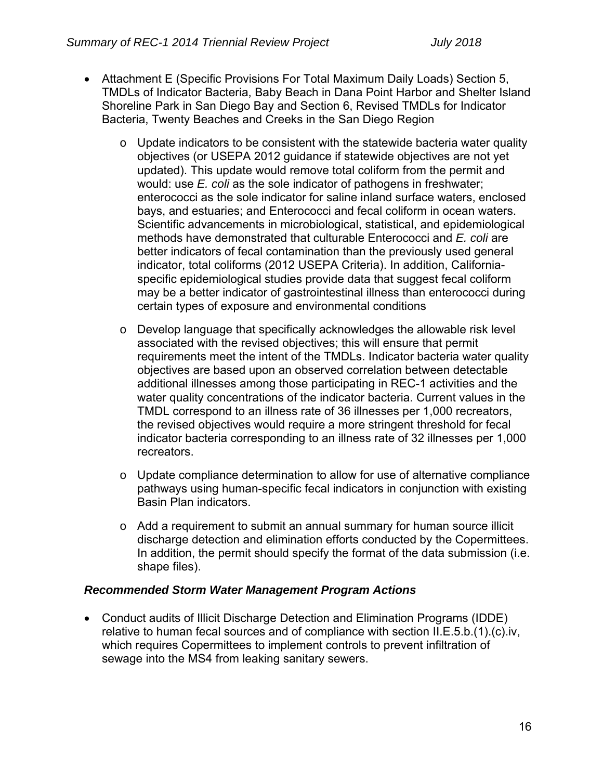- Attachment E (Specific Provisions For Total Maximum Daily Loads) Section 5, TMDLs of Indicator Bacteria, Baby Beach in Dana Point Harbor and Shelter Island Shoreline Park in San Diego Bay and Section 6, Revised TMDLs for Indicator Bacteria, Twenty Beaches and Creeks in the San Diego Region
	- Update indicators to be consistent with the statewide bacteria water quality objectives (or USEPA 2012 guidance if statewide objectives are not yet updated). This update would remove total coliform from the permit and would: use *E. coli* as the sole indicator of pathogens in freshwater; enterococci as the sole indicator for saline inland surface waters, enclosed bays, and estuaries; and Enterococci and fecal coliform in ocean waters. Scientific advancements in microbiological, statistical, and epidemiological methods have demonstrated that culturable Enterococci and *E. coli* are better indicators of fecal contamination than the previously used general indicator, total coliforms (2012 USEPA Criteria). In addition, Californiaspecific epidemiological studies provide data that suggest fecal coliform may be a better indicator of gastrointestinal illness than enterococci during certain types of exposure and environmental conditions
	- o Develop language that specifically acknowledges the allowable risk level associated with the revised objectives; this will ensure that permit requirements meet the intent of the TMDLs. Indicator bacteria water quality objectives are based upon an observed correlation between detectable additional illnesses among those participating in REC-1 activities and the water quality concentrations of the indicator bacteria. Current values in the TMDL correspond to an illness rate of 36 illnesses per 1,000 recreators, the revised objectives would require a more stringent threshold for fecal indicator bacteria corresponding to an illness rate of 32 illnesses per 1,000 recreators.
	- $\circ$  Update compliance determination to allow for use of alternative compliance pathways using human-specific fecal indicators in conjunction with existing Basin Plan indicators.
	- $\circ$  Add a requirement to submit an annual summary for human source illicit discharge detection and elimination efforts conducted by the Copermittees. In addition, the permit should specify the format of the data submission (i.e. shape files).

# *Recommended Storm Water Management Program Actions*

 Conduct audits of Illicit Discharge Detection and Elimination Programs (IDDE) relative to human fecal sources and of compliance with section II.E.5.b.(1).(c).iv, which requires Copermittees to implement controls to prevent infiltration of sewage into the MS4 from leaking sanitary sewers.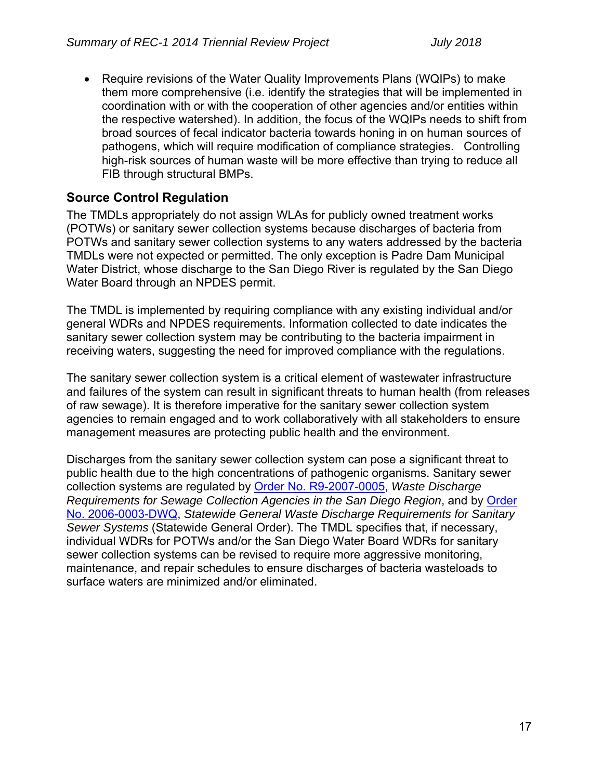• Require revisions of the Water Quality Improvements Plans (WQIPs) to make them more comprehensive (i.e. identify the strategies that will be implemented in coordination with or with the cooperation of other agencies and/or entities within the respective watershed). In addition, the focus of the WQIPs needs to shift from broad sources of fecal indicator bacteria towards honing in on human sources of pathogens, which will require modification of compliance strategies. Controlling high-risk sources of human waste will be more effective than trying to reduce all FIB through structural BMPs.

# **Source Control Regulation**

The TMDLs appropriately do not assign WLAs for publicly owned treatment works (POTWs) or sanitary sewer collection systems because discharges of bacteria from POTWs and sanitary sewer collection systems to any waters addressed by the bacteria TMDLs were not expected or permitted. The only exception is Padre Dam Municipal Water District, whose discharge to the San Diego River is regulated by the San Diego Water Board through an NPDES permit.

The TMDL is implemented by requiring compliance with any existing individual and/or general WDRs and NPDES requirements. Information collected to date indicates the sanitary sewer collection system may be contributing to the bacteria impairment in receiving waters, suggesting the need for improved compliance with the regulations.

The sanitary sewer collection system is a critical element of wastewater infrastructure and failures of the system can result in significant threats to human health (from releases of raw sewage). It is therefore imperative for the sanitary sewer collection system agencies to remain engaged and to work collaboratively with all stakeholders to ensure management measures are protecting public health and the environment.

Discharges from the sanitary sewer collection system can pose a significant threat to public health due to the high concentrations of pathogenic organisms. Sanitary sewer collection systems are regulated by Order No. R9-2007-0005, *Waste Discharge Requirements for Sewage Collection Agencies in the San Diego Region*, and by Order No. 2006-0003-DWQ, *Statewide General Waste Discharge Requirements for Sanitary Sewer Systems* (Statewide General Order). The TMDL specifies that, if necessary, individual WDRs for POTWs and/or the San Diego Water Board WDRs for sanitary sewer collection systems can be revised to require more aggressive monitoring, maintenance, and repair schedules to ensure discharges of bacteria wasteloads to surface waters are minimized and/or eliminated.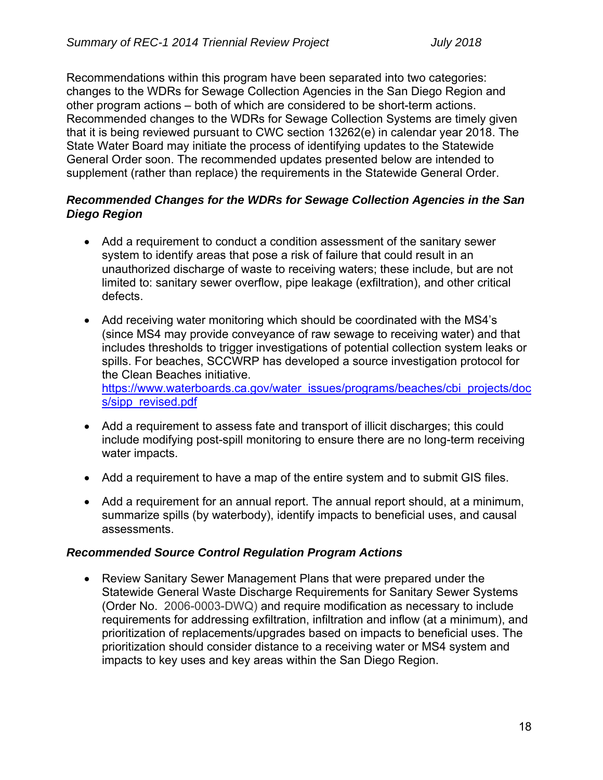Recommendations within this program have been separated into two categories: changes to the WDRs for Sewage Collection Agencies in the San Diego Region and other program actions – both of which are considered to be short-term actions. Recommended changes to the WDRs for Sewage Collection Systems are timely given that it is being reviewed pursuant to CWC section 13262(e) in calendar year 2018. The State Water Board may initiate the process of identifying updates to the Statewide General Order soon. The recommended updates presented below are intended to supplement (rather than replace) the requirements in the Statewide General Order.

### *Recommended Changes for the WDRs for Sewage Collection Agencies in the San Diego Region*

- Add a requirement to conduct a condition assessment of the sanitary sewer system to identify areas that pose a risk of failure that could result in an unauthorized discharge of waste to receiving waters; these include, but are not limited to: sanitary sewer overflow, pipe leakage (exfiltration), and other critical defects.
- Add receiving water monitoring which should be coordinated with the MS4's (since MS4 may provide conveyance of raw sewage to receiving water) and that includes thresholds to trigger investigations of potential collection system leaks or spills. For beaches, SCCWRP has developed a source investigation protocol for the Clean Beaches initiative. https://www.waterboards.ca.gov/water\_issues/programs/beaches/cbi\_projects/doc s/sipp\_revised.pdf
- Add a requirement to assess fate and transport of illicit discharges; this could include modifying post-spill monitoring to ensure there are no long-term receiving water impacts.
- Add a requirement to have a map of the entire system and to submit GIS files.
- Add a requirement for an annual report. The annual report should, at a minimum, summarize spills (by waterbody), identify impacts to beneficial uses, and causal assessments.

#### *Recommended Source Control Regulation Program Actions*

 Review Sanitary Sewer Management Plans that were prepared under the Statewide General Waste Discharge Requirements for Sanitary Sewer Systems (Order No. 2006-0003-DWQ) and require modification as necessary to include requirements for addressing exfiltration, infiltration and inflow (at a minimum), and prioritization of replacements/upgrades based on impacts to beneficial uses. The prioritization should consider distance to a receiving water or MS4 system and impacts to key uses and key areas within the San Diego Region.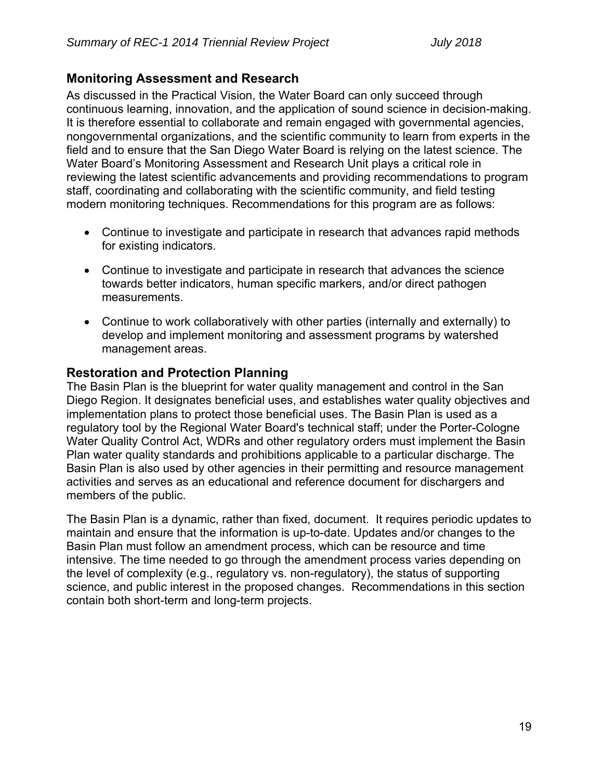# **Monitoring Assessment and Research**

As discussed in the Practical Vision, the Water Board can only succeed through continuous learning, innovation, and the application of sound science in decision-making. It is therefore essential to collaborate and remain engaged with governmental agencies, nongovernmental organizations, and the scientific community to learn from experts in the field and to ensure that the San Diego Water Board is relying on the latest science. The Water Board's Monitoring Assessment and Research Unit plays a critical role in reviewing the latest scientific advancements and providing recommendations to program staff, coordinating and collaborating with the scientific community, and field testing modern monitoring techniques. Recommendations for this program are as follows:

- Continue to investigate and participate in research that advances rapid methods for existing indicators.
- Continue to investigate and participate in research that advances the science towards better indicators, human specific markers, and/or direct pathogen measurements.
- Continue to work collaboratively with other parties (internally and externally) to develop and implement monitoring and assessment programs by watershed management areas.

# **Restoration and Protection Planning**

The Basin Plan is the blueprint for water quality management and control in the San Diego Region. It designates beneficial uses, and establishes water quality objectives and implementation plans to protect those beneficial uses. The Basin Plan is used as a regulatory tool by the Regional Water Board's technical staff; under the Porter-Cologne Water Quality Control Act, WDRs and other regulatory orders must implement the Basin Plan water quality standards and prohibitions applicable to a particular discharge. The Basin Plan is also used by other agencies in their permitting and resource management activities and serves as an educational and reference document for dischargers and members of the public.

The Basin Plan is a dynamic, rather than fixed, document. It requires periodic updates to maintain and ensure that the information is up-to-date. Updates and/or changes to the Basin Plan must follow an amendment process, which can be resource and time intensive. The time needed to go through the amendment process varies depending on the level of complexity (e.g., regulatory vs. non-regulatory), the status of supporting science, and public interest in the proposed changes. Recommendations in this section contain both short-term and long-term projects.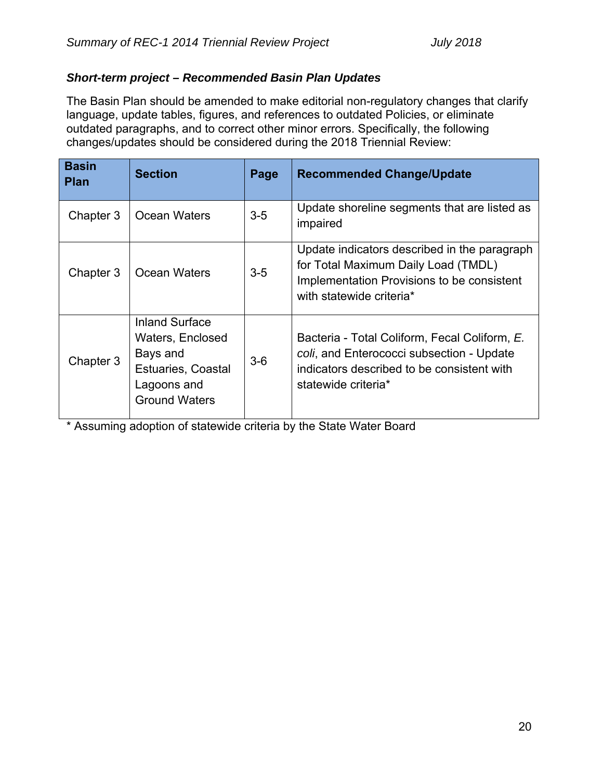# *Short-term project – Recommended Basin Plan Updates*

The Basin Plan should be amended to make editorial non-regulatory changes that clarify language, update tables, figures, and references to outdated Policies, or eliminate outdated paragraphs, and to correct other minor errors. Specifically, the following changes/updates should be considered during the 2018 Triennial Review:

| <b>Basin</b><br><b>Plan</b> | <b>Section</b>                                                                                                            | Page  | <b>Recommended Change/Update</b>                                                                                                                                |
|-----------------------------|---------------------------------------------------------------------------------------------------------------------------|-------|-----------------------------------------------------------------------------------------------------------------------------------------------------------------|
| Chapter 3                   | <b>Ocean Waters</b>                                                                                                       | $3-5$ | Update shoreline segments that are listed as<br>impaired                                                                                                        |
| Chapter 3                   | <b>Ocean Waters</b>                                                                                                       | $3-5$ | Update indicators described in the paragraph<br>for Total Maximum Daily Load (TMDL)<br>Implementation Provisions to be consistent<br>with statewide criteria*   |
| Chapter 3                   | <b>Inland Surface</b><br>Waters, Enclosed<br>Bays and<br><b>Estuaries, Coastal</b><br>Lagoons and<br><b>Ground Waters</b> | $3-6$ | Bacteria - Total Coliform, Fecal Coliform, E.<br>coli, and Enterococci subsection - Update<br>indicators described to be consistent with<br>statewide criteria* |

\* Assuming adoption of statewide criteria by the State Water Board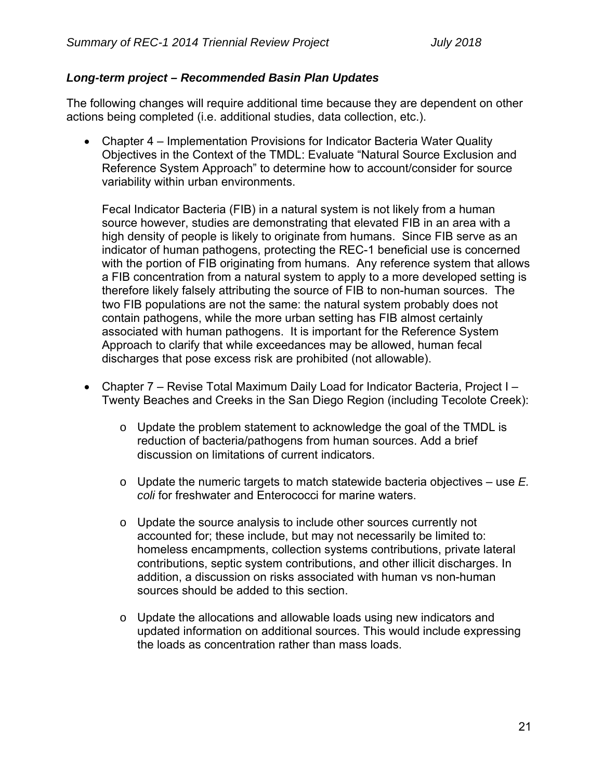# *Long-term project – Recommended Basin Plan Updates*

The following changes will require additional time because they are dependent on other actions being completed (i.e. additional studies, data collection, etc.).

 Chapter 4 – Implementation Provisions for Indicator Bacteria Water Quality Objectives in the Context of the TMDL: Evaluate "Natural Source Exclusion and Reference System Approach" to determine how to account/consider for source variability within urban environments.

Fecal Indicator Bacteria (FIB) in a natural system is not likely from a human source however, studies are demonstrating that elevated FIB in an area with a high density of people is likely to originate from humans. Since FIB serve as an indicator of human pathogens, protecting the REC-1 beneficial use is concerned with the portion of FIB originating from humans. Any reference system that allows a FIB concentration from a natural system to apply to a more developed setting is therefore likely falsely attributing the source of FIB to non-human sources. The two FIB populations are not the same: the natural system probably does not contain pathogens, while the more urban setting has FIB almost certainly associated with human pathogens. It is important for the Reference System Approach to clarify that while exceedances may be allowed, human fecal discharges that pose excess risk are prohibited (not allowable).

- Chapter 7 Revise Total Maximum Daily Load for Indicator Bacteria, Project I Twenty Beaches and Creeks in the San Diego Region (including Tecolote Creek):
	- o Update the problem statement to acknowledge the goal of the TMDL is reduction of bacteria/pathogens from human sources. Add a brief discussion on limitations of current indicators.
	- o Update the numeric targets to match statewide bacteria objectives use *E. coli* for freshwater and Enterococci for marine waters.
	- o Update the source analysis to include other sources currently not accounted for; these include, but may not necessarily be limited to: homeless encampments, collection systems contributions, private lateral contributions, septic system contributions, and other illicit discharges. In addition, a discussion on risks associated with human vs non-human sources should be added to this section.
	- o Update the allocations and allowable loads using new indicators and updated information on additional sources. This would include expressing the loads as concentration rather than mass loads.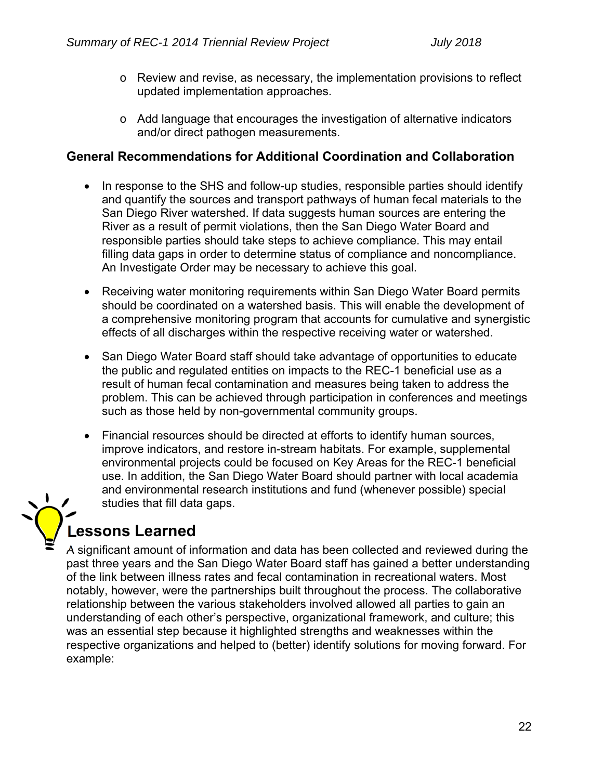- $\circ$  Review and revise, as necessary, the implementation provisions to reflect updated implementation approaches.
- o Add language that encourages the investigation of alternative indicators and/or direct pathogen measurements.

# **General Recommendations for Additional Coordination and Collaboration**

- In response to the SHS and follow-up studies, responsible parties should identify and quantify the sources and transport pathways of human fecal materials to the San Diego River watershed. If data suggests human sources are entering the River as a result of permit violations, then the San Diego Water Board and responsible parties should take steps to achieve compliance. This may entail filling data gaps in order to determine status of compliance and noncompliance. An Investigate Order may be necessary to achieve this goal.
- Receiving water monitoring requirements within San Diego Water Board permits should be coordinated on a watershed basis. This will enable the development of a comprehensive monitoring program that accounts for cumulative and synergistic effects of all discharges within the respective receiving water or watershed.
- San Diego Water Board staff should take advantage of opportunities to educate the public and regulated entities on impacts to the REC-1 beneficial use as a result of human fecal contamination and measures being taken to address the problem. This can be achieved through participation in conferences and meetings such as those held by non-governmental community groups.
- Financial resources should be directed at efforts to identify human sources, improve indicators, and restore in-stream habitats. For example, supplemental environmental projects could be focused on Key Areas for the REC-1 beneficial use. In addition, the San Diego Water Board should partner with local academia and environmental research institutions and fund (whenever possible) special studies that fill data gaps.

# **Lessons Learned**

A significant amount of information and data has been collected and reviewed during the past three years and the San Diego Water Board staff has gained a better understanding of the link between illness rates and fecal contamination in recreational waters. Most notably, however, were the partnerships built throughout the process. The collaborative relationship between the various stakeholders involved allowed all parties to gain an understanding of each other's perspective, organizational framework, and culture; this was an essential step because it highlighted strengths and weaknesses within the respective organizations and helped to (better) identify solutions for moving forward. For example: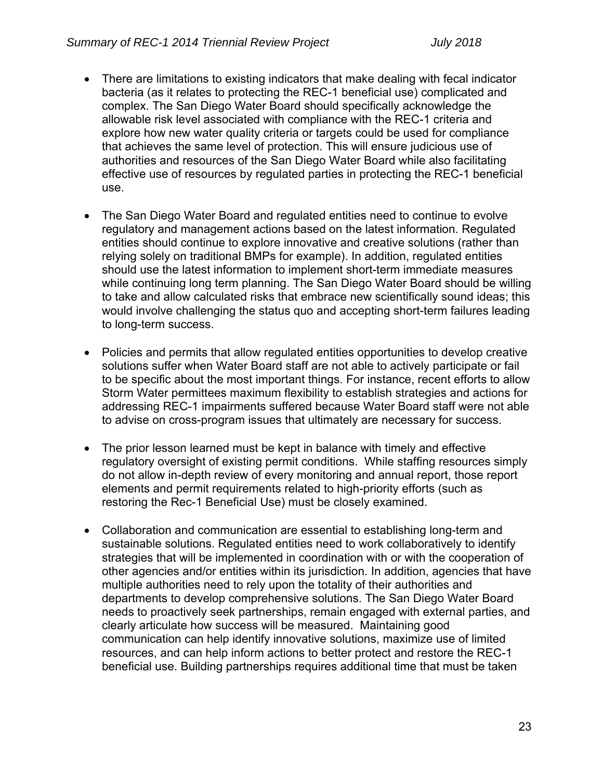- There are limitations to existing indicators that make dealing with fecal indicator bacteria (as it relates to protecting the REC-1 beneficial use) complicated and complex. The San Diego Water Board should specifically acknowledge the allowable risk level associated with compliance with the REC-1 criteria and explore how new water quality criteria or targets could be used for compliance that achieves the same level of protection. This will ensure judicious use of authorities and resources of the San Diego Water Board while also facilitating effective use of resources by regulated parties in protecting the REC-1 beneficial use.
- The San Diego Water Board and regulated entities need to continue to evolve regulatory and management actions based on the latest information. Regulated entities should continue to explore innovative and creative solutions (rather than relying solely on traditional BMPs for example). In addition, regulated entities should use the latest information to implement short-term immediate measures while continuing long term planning. The San Diego Water Board should be willing to take and allow calculated risks that embrace new scientifically sound ideas; this would involve challenging the status quo and accepting short-term failures leading to long-term success.
- Policies and permits that allow regulated entities opportunities to develop creative solutions suffer when Water Board staff are not able to actively participate or fail to be specific about the most important things. For instance, recent efforts to allow Storm Water permittees maximum flexibility to establish strategies and actions for addressing REC-1 impairments suffered because Water Board staff were not able to advise on cross-program issues that ultimately are necessary for success.
- The prior lesson learned must be kept in balance with timely and effective regulatory oversight of existing permit conditions. While staffing resources simply do not allow in-depth review of every monitoring and annual report, those report elements and permit requirements related to high-priority efforts (such as restoring the Rec-1 Beneficial Use) must be closely examined.
- Collaboration and communication are essential to establishing long-term and sustainable solutions. Regulated entities need to work collaboratively to identify strategies that will be implemented in coordination with or with the cooperation of other agencies and/or entities within its jurisdiction. In addition, agencies that have multiple authorities need to rely upon the totality of their authorities and departments to develop comprehensive solutions. The San Diego Water Board needs to proactively seek partnerships, remain engaged with external parties, and clearly articulate how success will be measured. Maintaining good communication can help identify innovative solutions, maximize use of limited resources, and can help inform actions to better protect and restore the REC-1 beneficial use. Building partnerships requires additional time that must be taken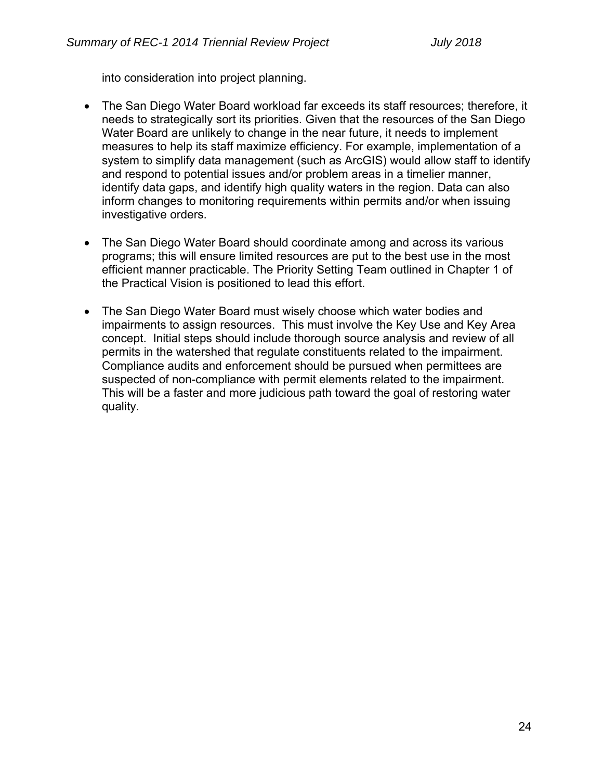into consideration into project planning.

- The San Diego Water Board workload far exceeds its staff resources; therefore, it needs to strategically sort its priorities. Given that the resources of the San Diego Water Board are unlikely to change in the near future, it needs to implement measures to help its staff maximize efficiency. For example, implementation of a system to simplify data management (such as ArcGIS) would allow staff to identify and respond to potential issues and/or problem areas in a timelier manner, identify data gaps, and identify high quality waters in the region. Data can also inform changes to monitoring requirements within permits and/or when issuing investigative orders.
- The San Diego Water Board should coordinate among and across its various programs; this will ensure limited resources are put to the best use in the most efficient manner practicable. The Priority Setting Team outlined in Chapter 1 of the Practical Vision is positioned to lead this effort.
- The San Diego Water Board must wisely choose which water bodies and impairments to assign resources. This must involve the Key Use and Key Area concept. Initial steps should include thorough source analysis and review of all permits in the watershed that regulate constituents related to the impairment. Compliance audits and enforcement should be pursued when permittees are suspected of non-compliance with permit elements related to the impairment. This will be a faster and more judicious path toward the goal of restoring water quality.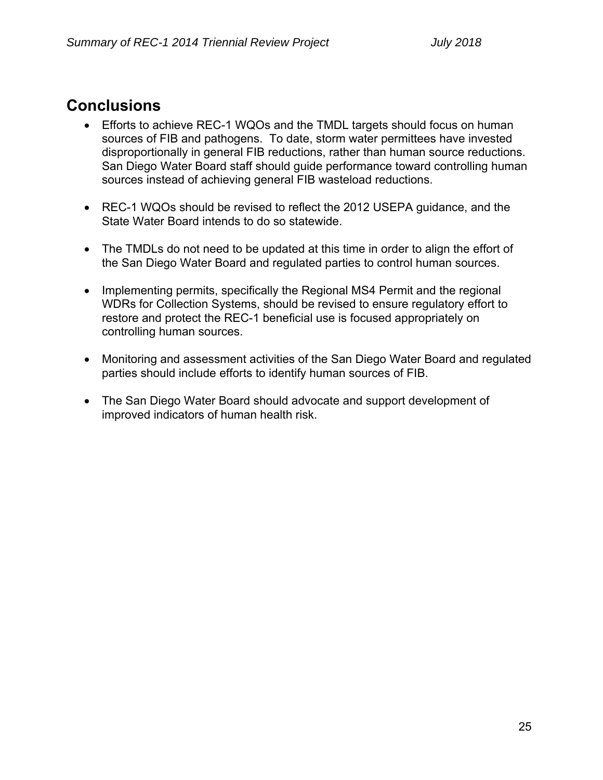# **Conclusions**

- Efforts to achieve REC-1 WQOs and the TMDL targets should focus on human sources of FIB and pathogens. To date, storm water permittees have invested disproportionally in general FIB reductions, rather than human source reductions. San Diego Water Board staff should guide performance toward controlling human sources instead of achieving general FIB wasteload reductions.
- REC-1 WQOs should be revised to reflect the 2012 USEPA guidance, and the State Water Board intends to do so statewide.
- The TMDLs do not need to be updated at this time in order to align the effort of the San Diego Water Board and regulated parties to control human sources.
- Implementing permits, specifically the Regional MS4 Permit and the regional WDRs for Collection Systems, should be revised to ensure regulatory effort to restore and protect the REC-1 beneficial use is focused appropriately on controlling human sources.
- Monitoring and assessment activities of the San Diego Water Board and regulated parties should include efforts to identify human sources of FIB.
- The San Diego Water Board should advocate and support development of improved indicators of human health risk.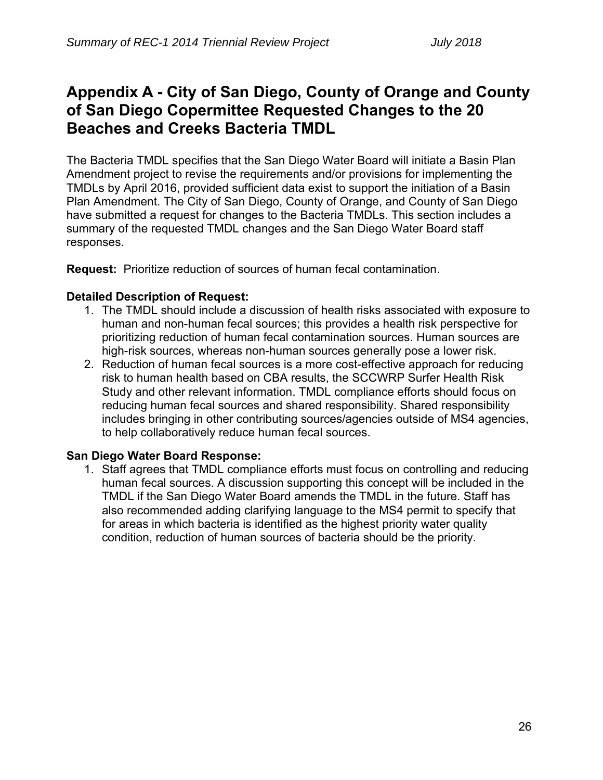# **Appendix A - City of San Diego, County of Orange and County of San Diego Copermittee Requested Changes to the 20 Beaches and Creeks Bacteria TMDL**

The Bacteria TMDL specifies that the San Diego Water Board will initiate a Basin Plan Amendment project to revise the requirements and/or provisions for implementing the TMDLs by April 2016, provided sufficient data exist to support the initiation of a Basin Plan Amendment. The City of San Diego, County of Orange, and County of San Diego have submitted a request for changes to the Bacteria TMDLs. This section includes a summary of the requested TMDL changes and the San Diego Water Board staff responses.

**Request:** Prioritize reduction of sources of human fecal contamination.

#### **Detailed Description of Request:**

- 1. The TMDL should include a discussion of health risks associated with exposure to human and non-human fecal sources; this provides a health risk perspective for prioritizing reduction of human fecal contamination sources. Human sources are high-risk sources, whereas non-human sources generally pose a lower risk.
- 2. Reduction of human fecal sources is a more cost-effective approach for reducing risk to human health based on CBA results, the SCCWRP Surfer Health Risk Study and other relevant information. TMDL compliance efforts should focus on reducing human fecal sources and shared responsibility. Shared responsibility includes bringing in other contributing sources/agencies outside of MS4 agencies, to help collaboratively reduce human fecal sources.

#### **San Diego Water Board Response:**

1. Staff agrees that TMDL compliance efforts must focus on controlling and reducing human fecal sources. A discussion supporting this concept will be included in the TMDL if the San Diego Water Board amends the TMDL in the future. Staff has also recommended adding clarifying language to the MS4 permit to specify that for areas in which bacteria is identified as the highest priority water quality condition, reduction of human sources of bacteria should be the priority.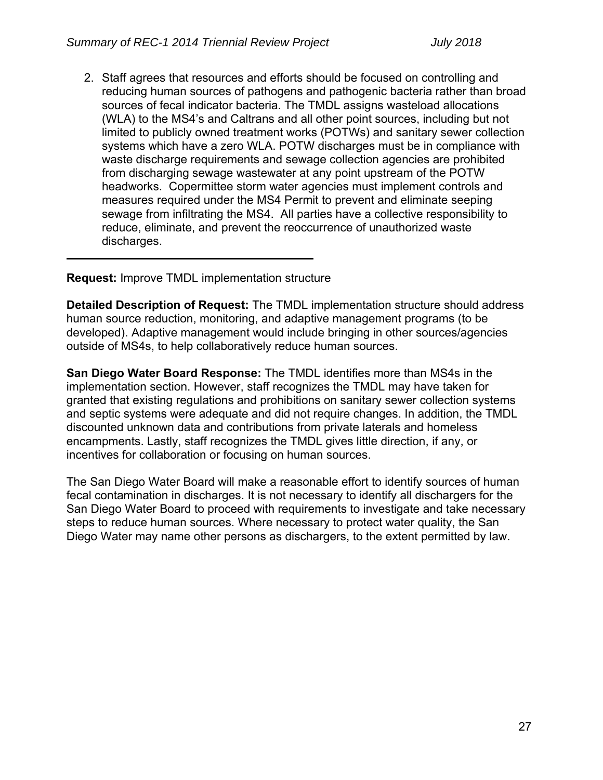2. Staff agrees that resources and efforts should be focused on controlling and reducing human sources of pathogens and pathogenic bacteria rather than broad sources of fecal indicator bacteria. The TMDL assigns wasteload allocations (WLA) to the MS4's and Caltrans and all other point sources, including but not limited to publicly owned treatment works (POTWs) and sanitary sewer collection systems which have a zero WLA. POTW discharges must be in compliance with waste discharge requirements and sewage collection agencies are prohibited from discharging sewage wastewater at any point upstream of the POTW headworks. Copermittee storm water agencies must implement controls and measures required under the MS4 Permit to prevent and eliminate seeping sewage from infiltrating the MS4. All parties have a collective responsibility to reduce, eliminate, and prevent the reoccurrence of unauthorized waste discharges.

**Request:** Improve TMDL implementation structure

**Detailed Description of Request:** The TMDL implementation structure should address human source reduction, monitoring, and adaptive management programs (to be developed). Adaptive management would include bringing in other sources/agencies outside of MS4s, to help collaboratively reduce human sources.

**San Diego Water Board Response:** The TMDL identifies more than MS4s in the implementation section. However, staff recognizes the TMDL may have taken for granted that existing regulations and prohibitions on sanitary sewer collection systems and septic systems were adequate and did not require changes. In addition, the TMDL discounted unknown data and contributions from private laterals and homeless encampments. Lastly, staff recognizes the TMDL gives little direction, if any, or incentives for collaboration or focusing on human sources.

The San Diego Water Board will make a reasonable effort to identify sources of human fecal contamination in discharges. It is not necessary to identify all dischargers for the San Diego Water Board to proceed with requirements to investigate and take necessary steps to reduce human sources. Where necessary to protect water quality, the San Diego Water may name other persons as dischargers, to the extent permitted by law.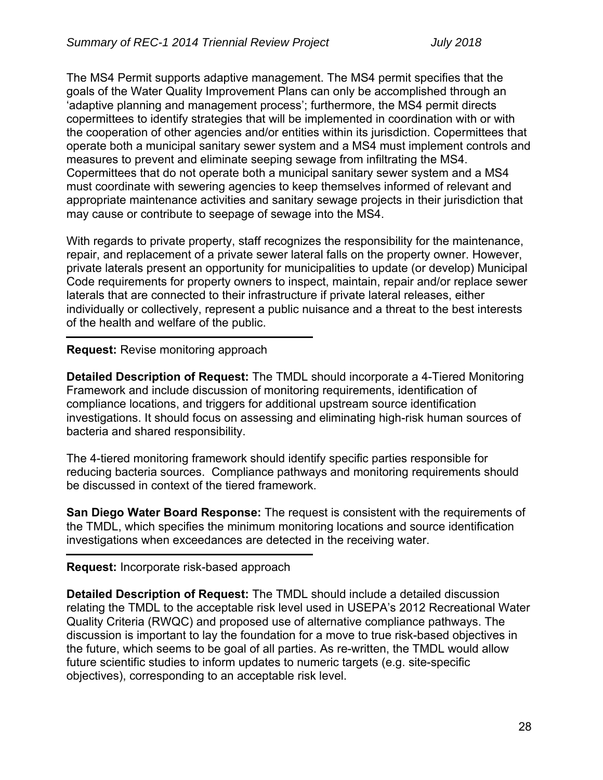The MS4 Permit supports adaptive management. The MS4 permit specifies that the goals of the Water Quality Improvement Plans can only be accomplished through an 'adaptive planning and management process'; furthermore, the MS4 permit directs copermittees to identify strategies that will be implemented in coordination with or with the cooperation of other agencies and/or entities within its jurisdiction. Copermittees that operate both a municipal sanitary sewer system and a MS4 must implement controls and measures to prevent and eliminate seeping sewage from infiltrating the MS4. Copermittees that do not operate both a municipal sanitary sewer system and a MS4 must coordinate with sewering agencies to keep themselves informed of relevant and appropriate maintenance activities and sanitary sewage projects in their jurisdiction that may cause or contribute to seepage of sewage into the MS4.

With regards to private property, staff recognizes the responsibility for the maintenance, repair, and replacement of a private sewer lateral falls on the property owner. However, private laterals present an opportunity for municipalities to update (or develop) Municipal Code requirements for property owners to inspect, maintain, repair and/or replace sewer laterals that are connected to their infrastructure if private lateral releases, either individually or collectively, represent a public nuisance and a threat to the best interests of the health and welfare of the public.

### **Request:** Revise monitoring approach

**Detailed Description of Request:** The TMDL should incorporate a 4-Tiered Monitoring Framework and include discussion of monitoring requirements, identification of compliance locations, and triggers for additional upstream source identification investigations. It should focus on assessing and eliminating high-risk human sources of bacteria and shared responsibility.

The 4-tiered monitoring framework should identify specific parties responsible for reducing bacteria sources. Compliance pathways and monitoring requirements should be discussed in context of the tiered framework.

**San Diego Water Board Response:** The request is consistent with the requirements of the TMDL, which specifies the minimum monitoring locations and source identification investigations when exceedances are detected in the receiving water.

#### **Request:** Incorporate risk-based approach

**Detailed Description of Request:** The TMDL should include a detailed discussion relating the TMDL to the acceptable risk level used in USEPA's 2012 Recreational Water Quality Criteria (RWQC) and proposed use of alternative compliance pathways. The discussion is important to lay the foundation for a move to true risk-based objectives in the future, which seems to be goal of all parties. As re-written, the TMDL would allow future scientific studies to inform updates to numeric targets (e.g. site-specific objectives), corresponding to an acceptable risk level.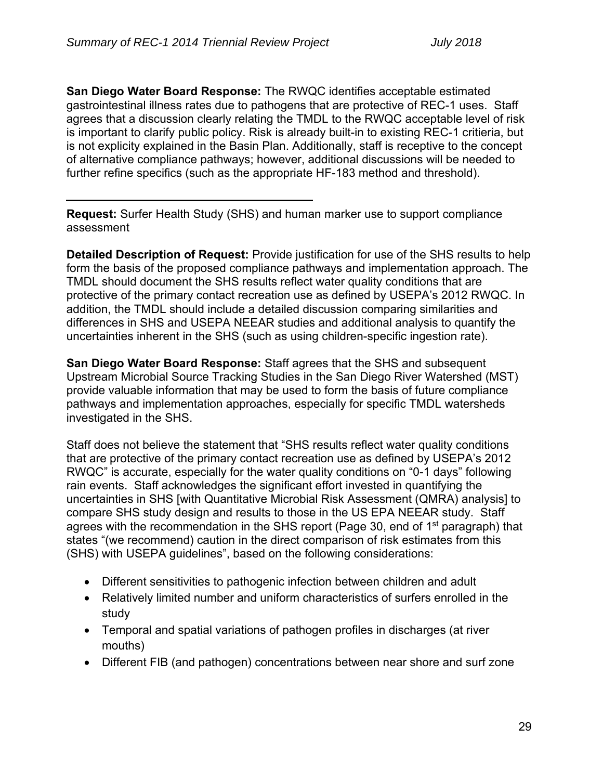**San Diego Water Board Response:** The RWQC identifies acceptable estimated gastrointestinal illness rates due to pathogens that are protective of REC-1 uses. Staff agrees that a discussion clearly relating the TMDL to the RWQC acceptable level of risk is important to clarify public policy. Risk is already built-in to existing REC-1 critieria, but is not explicity explained in the Basin Plan. Additionally, staff is receptive to the concept of alternative compliance pathways; however, additional discussions will be needed to further refine specifics (such as the appropriate HF-183 method and threshold).

**Request:** Surfer Health Study (SHS) and human marker use to support compliance assessment

**Detailed Description of Request:** Provide justification for use of the SHS results to help form the basis of the proposed compliance pathways and implementation approach. The TMDL should document the SHS results reflect water quality conditions that are protective of the primary contact recreation use as defined by USEPA's 2012 RWQC. In addition, the TMDL should include a detailed discussion comparing similarities and differences in SHS and USEPA NEEAR studies and additional analysis to quantify the uncertainties inherent in the SHS (such as using children-specific ingestion rate).

**San Diego Water Board Response:** Staff agrees that the SHS and subsequent Upstream Microbial Source Tracking Studies in the San Diego River Watershed (MST) provide valuable information that may be used to form the basis of future compliance pathways and implementation approaches, especially for specific TMDL watersheds investigated in the SHS.

Staff does not believe the statement that "SHS results reflect water quality conditions that are protective of the primary contact recreation use as defined by USEPA's 2012 RWQC" is accurate, especially for the water quality conditions on "0-1 days" following rain events. Staff acknowledges the significant effort invested in quantifying the uncertainties in SHS [with Quantitative Microbial Risk Assessment (QMRA) analysis] to compare SHS study design and results to those in the US EPA NEEAR study. Staff agrees with the recommendation in the SHS report (Page 30, end of 1<sup>st</sup> paragraph) that states "(we recommend) caution in the direct comparison of risk estimates from this (SHS) with USEPA guidelines", based on the following considerations:

- Different sensitivities to pathogenic infection between children and adult
- Relatively limited number and uniform characteristics of surfers enrolled in the study
- Temporal and spatial variations of pathogen profiles in discharges (at river mouths)
- Different FIB (and pathogen) concentrations between near shore and surf zone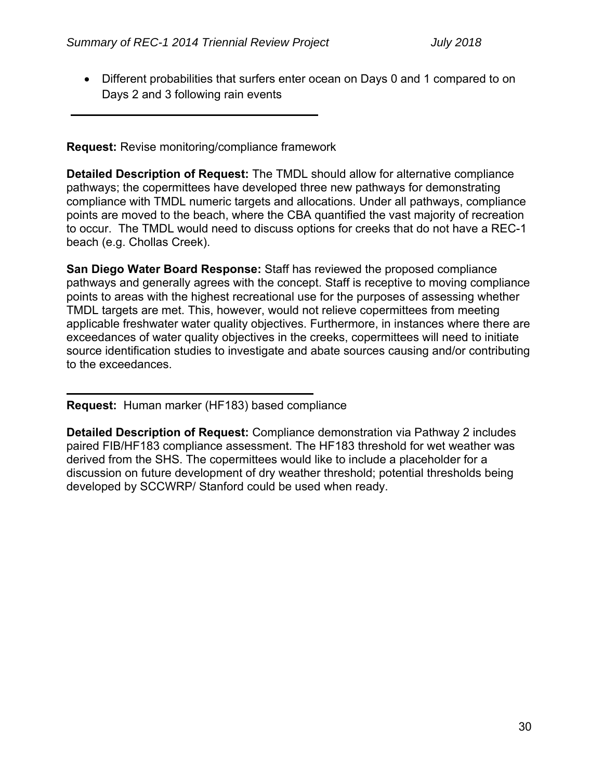Different probabilities that surfers enter ocean on Days 0 and 1 compared to on Days 2 and 3 following rain events

**Request:** Revise monitoring/compliance framework

**Detailed Description of Request:** The TMDL should allow for alternative compliance pathways; the copermittees have developed three new pathways for demonstrating compliance with TMDL numeric targets and allocations. Under all pathways, compliance points are moved to the beach, where the CBA quantified the vast majority of recreation to occur. The TMDL would need to discuss options for creeks that do not have a REC-1 beach (e.g. Chollas Creek).

**San Diego Water Board Response:** Staff has reviewed the proposed compliance pathways and generally agrees with the concept. Staff is receptive to moving compliance points to areas with the highest recreational use for the purposes of assessing whether TMDL targets are met. This, however, would not relieve copermittees from meeting applicable freshwater water quality objectives. Furthermore, in instances where there are exceedances of water quality objectives in the creeks, copermittees will need to initiate source identification studies to investigate and abate sources causing and/or contributing to the exceedances.

**Request:** Human marker (HF183) based compliance

**Detailed Description of Request:** Compliance demonstration via Pathway 2 includes paired FIB/HF183 compliance assessment. The HF183 threshold for wet weather was derived from the SHS. The copermittees would like to include a placeholder for a discussion on future development of dry weather threshold; potential thresholds being developed by SCCWRP/ Stanford could be used when ready.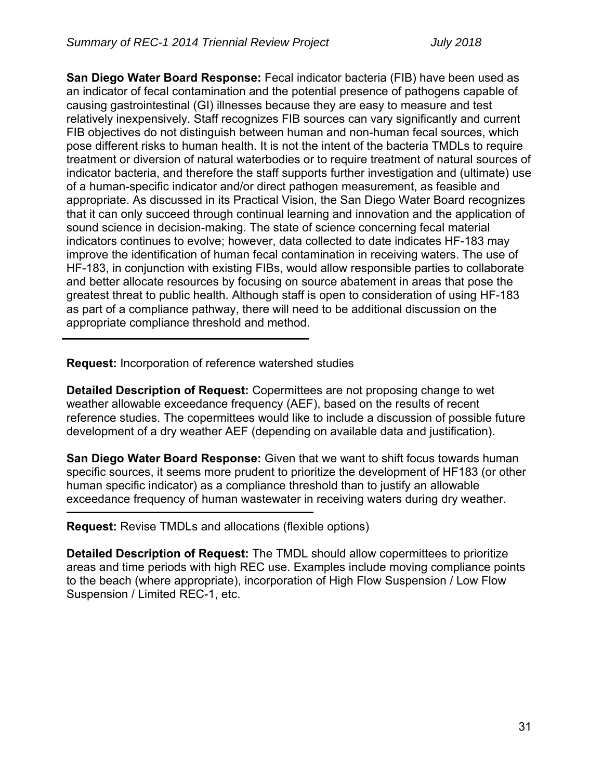**San Diego Water Board Response:** Fecal indicator bacteria (FIB) have been used as an indicator of fecal contamination and the potential presence of pathogens capable of causing gastrointestinal (GI) illnesses because they are easy to measure and test relatively inexpensively. Staff recognizes FIB sources can vary significantly and current FIB objectives do not distinguish between human and non-human fecal sources, which pose different risks to human health. It is not the intent of the bacteria TMDLs to require treatment or diversion of natural waterbodies or to require treatment of natural sources of indicator bacteria, and therefore the staff supports further investigation and (ultimate) use of a human-specific indicator and/or direct pathogen measurement, as feasible and appropriate. As discussed in its Practical Vision, the San Diego Water Board recognizes that it can only succeed through continual learning and innovation and the application of sound science in decision-making. The state of science concerning fecal material indicators continues to evolve; however, data collected to date indicates HF-183 may improve the identification of human fecal contamination in receiving waters. The use of HF-183, in conjunction with existing FIBs, would allow responsible parties to collaborate and better allocate resources by focusing on source abatement in areas that pose the greatest threat to public health. Although staff is open to consideration of using HF-183 as part of a compliance pathway, there will need to be additional discussion on the appropriate compliance threshold and method.

**Request:** Incorporation of reference watershed studies

**Detailed Description of Request:** Copermittees are not proposing change to wet weather allowable exceedance frequency (AEF), based on the results of recent reference studies. The copermittees would like to include a discussion of possible future development of a dry weather AEF (depending on available data and justification).

**San Diego Water Board Response:** Given that we want to shift focus towards human specific sources, it seems more prudent to prioritize the development of HF183 (or other human specific indicator) as a compliance threshold than to justify an allowable exceedance frequency of human wastewater in receiving waters during dry weather.

**Request:** Revise TMDLs and allocations (flexible options)

**Detailed Description of Request:** The TMDL should allow copermittees to prioritize areas and time periods with high REC use. Examples include moving compliance points to the beach (where appropriate), incorporation of High Flow Suspension / Low Flow Suspension / Limited REC-1, etc.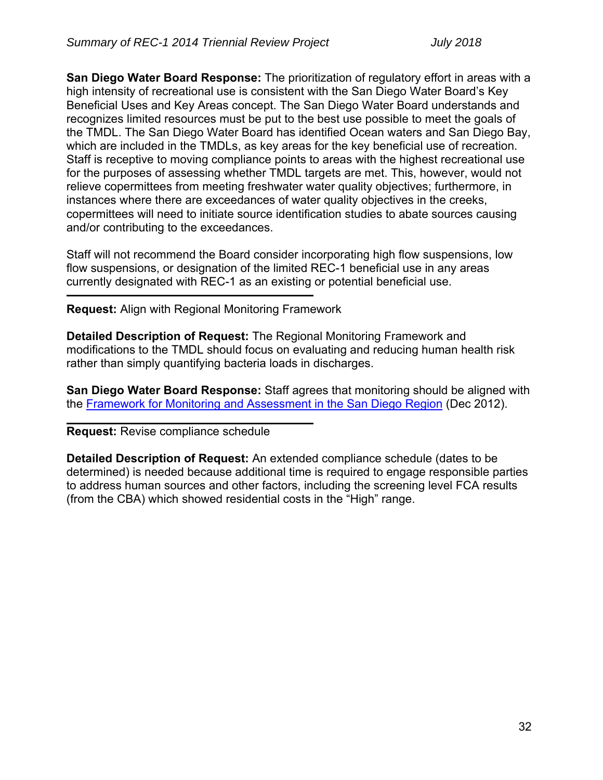**San Diego Water Board Response:** The prioritization of regulatory effort in areas with a high intensity of recreational use is consistent with the San Diego Water Board's Key Beneficial Uses and Key Areas concept. The San Diego Water Board understands and recognizes limited resources must be put to the best use possible to meet the goals of the TMDL. The San Diego Water Board has identified Ocean waters and San Diego Bay, which are included in the TMDLs, as key areas for the key beneficial use of recreation. Staff is receptive to moving compliance points to areas with the highest recreational use for the purposes of assessing whether TMDL targets are met. This, however, would not relieve copermittees from meeting freshwater water quality objectives; furthermore, in instances where there are exceedances of water quality objectives in the creeks, copermittees will need to initiate source identification studies to abate sources causing and/or contributing to the exceedances.

Staff will not recommend the Board consider incorporating high flow suspensions, low flow suspensions, or designation of the limited REC-1 beneficial use in any areas currently designated with REC-1 as an existing or potential beneficial use.

**Request:** Align with Regional Monitoring Framework

**Detailed Description of Request:** The Regional Monitoring Framework and modifications to the TMDL should focus on evaluating and reducing human health risk rather than simply quantifying bacteria loads in discharges.

**San Diego Water Board Response:** Staff agrees that monitoring should be aligned with the Framework for Monitoring and Assessment in the San Diego Region (Dec 2012).

**Request:** Revise compliance schedule

**Detailed Description of Request:** An extended compliance schedule (dates to be determined) is needed because additional time is required to engage responsible parties to address human sources and other factors, including the screening level FCA results (from the CBA) which showed residential costs in the "High" range.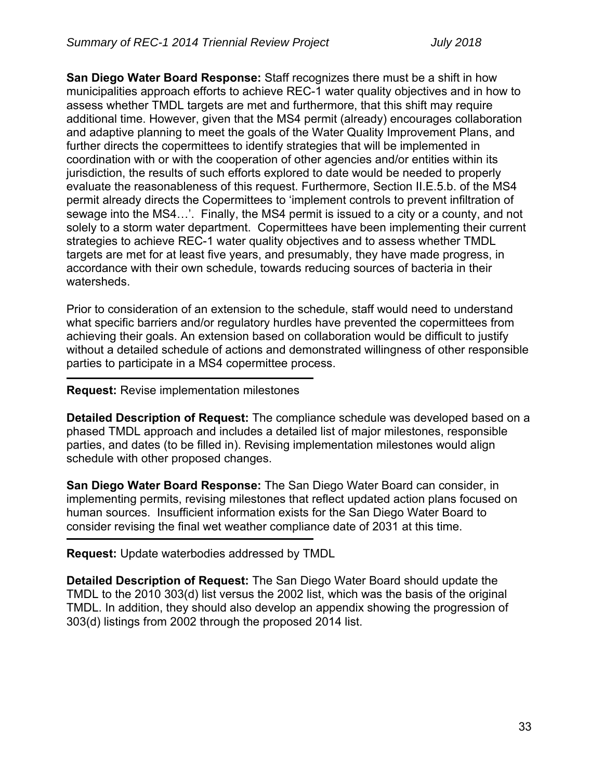**San Diego Water Board Response:** Staff recognizes there must be a shift in how municipalities approach efforts to achieve REC-1 water quality objectives and in how to assess whether TMDL targets are met and furthermore, that this shift may require additional time. However, given that the MS4 permit (already) encourages collaboration and adaptive planning to meet the goals of the Water Quality Improvement Plans, and further directs the copermittees to identify strategies that will be implemented in coordination with or with the cooperation of other agencies and/or entities within its jurisdiction, the results of such efforts explored to date would be needed to properly evaluate the reasonableness of this request. Furthermore, Section II.E.5.b. of the MS4 permit already directs the Copermittees to 'implement controls to prevent infiltration of sewage into the MS4…'. Finally, the MS4 permit is issued to a city or a county, and not solely to a storm water department. Copermittees have been implementing their current strategies to achieve REC-1 water quality objectives and to assess whether TMDL targets are met for at least five years, and presumably, they have made progress, in accordance with their own schedule, towards reducing sources of bacteria in their watersheds.

Prior to consideration of an extension to the schedule, staff would need to understand what specific barriers and/or regulatory hurdles have prevented the copermittees from achieving their goals. An extension based on collaboration would be difficult to justify without a detailed schedule of actions and demonstrated willingness of other responsible parties to participate in a MS4 copermittee process.

#### **Request:** Revise implementation milestones

**Detailed Description of Request:** The compliance schedule was developed based on a phased TMDL approach and includes a detailed list of major milestones, responsible parties, and dates (to be filled in). Revising implementation milestones would align schedule with other proposed changes.

**San Diego Water Board Response:** The San Diego Water Board can consider, in implementing permits, revising milestones that reflect updated action plans focused on human sources. Insufficient information exists for the San Diego Water Board to consider revising the final wet weather compliance date of 2031 at this time.

**Request:** Update waterbodies addressed by TMDL

**Detailed Description of Request:** The San Diego Water Board should update the TMDL to the 2010 303(d) list versus the 2002 list, which was the basis of the original TMDL. In addition, they should also develop an appendix showing the progression of 303(d) listings from 2002 through the proposed 2014 list.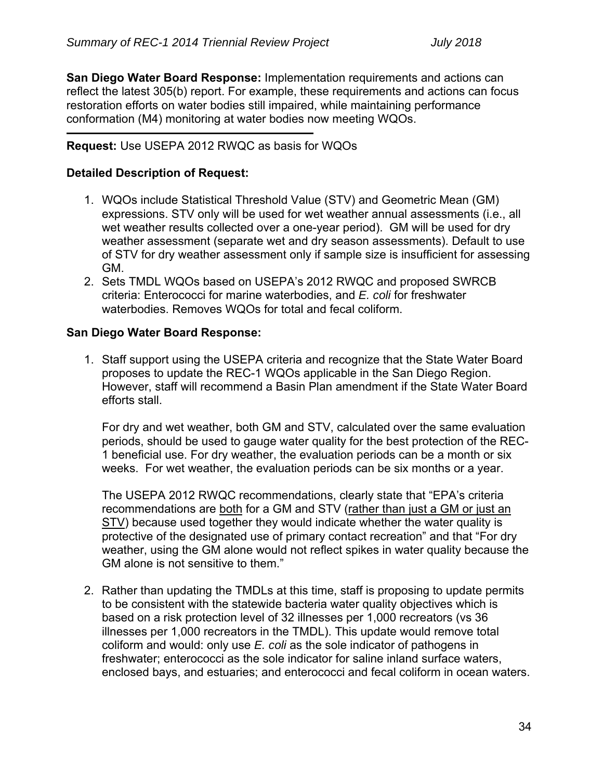**San Diego Water Board Response:** Implementation requirements and actions can reflect the latest 305(b) report. For example, these requirements and actions can focus restoration efforts on water bodies still impaired, while maintaining performance conformation (M4) monitoring at water bodies now meeting WQOs.

# **Request:** Use USEPA 2012 RWQC as basis for WQOs

## **Detailed Description of Request:**

- 1. WQOs include Statistical Threshold Value (STV) and Geometric Mean (GM) expressions. STV only will be used for wet weather annual assessments (i.e., all wet weather results collected over a one-year period). GM will be used for dry weather assessment (separate wet and dry season assessments). Default to use of STV for dry weather assessment only if sample size is insufficient for assessing GM.
- 2. Sets TMDL WQOs based on USEPA's 2012 RWQC and proposed SWRCB criteria: Enterococci for marine waterbodies, and *E. coli* for freshwater waterbodies. Removes WQOs for total and fecal coliform.

### **San Diego Water Board Response:**

1. Staff support using the USEPA criteria and recognize that the State Water Board proposes to update the REC-1 WQOs applicable in the San Diego Region. However, staff will recommend a Basin Plan amendment if the State Water Board efforts stall.

For dry and wet weather, both GM and STV, calculated over the same evaluation periods, should be used to gauge water quality for the best protection of the REC-1 beneficial use. For dry weather, the evaluation periods can be a month or six weeks. For wet weather, the evaluation periods can be six months or a year.

The USEPA 2012 RWQC recommendations, clearly state that "EPA's criteria recommendations are both for a GM and STV (rather than just a GM or just an STV) because used together they would indicate whether the water quality is protective of the designated use of primary contact recreation" and that "For dry weather, using the GM alone would not reflect spikes in water quality because the GM alone is not sensitive to them."

2. Rather than updating the TMDLs at this time, staff is proposing to update permits to be consistent with the statewide bacteria water quality objectives which is based on a risk protection level of 32 illnesses per 1,000 recreators (vs 36 illnesses per 1,000 recreators in the TMDL). This update would remove total coliform and would: only use *E. coli* as the sole indicator of pathogens in freshwater; enterococci as the sole indicator for saline inland surface waters, enclosed bays, and estuaries; and enterococci and fecal coliform in ocean waters.